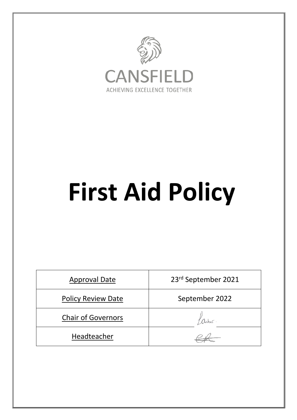

# **First Aid Policy**

| <b>Approval Date</b>      | 23rd September 2021 |  |
|---------------------------|---------------------|--|
| <b>Policy Review Date</b> | September 2022      |  |
| <b>Chair of Governors</b> |                     |  |
| Headteacher               |                     |  |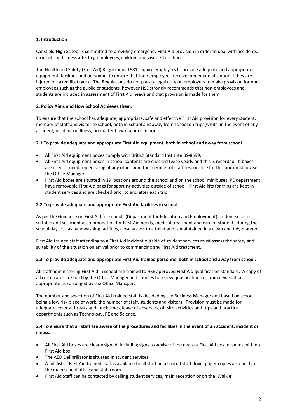### **1. Introduction**

Cansfield High School is committed to providing emergency First Aid provision in order to deal with accidents, incidents and illness affecting employees, children and visitors to school.

The Health and Safety (First Aid) Regulations 1981 require employers to provide adequate and appropriate equipment, facilities and personnel to ensure that their employees receive immediate attention if they are injured or taken ill at work. The Regulations do not place a legal duty on employers to make provision for nonemployees such as the public or students, however HSE strongly recommends that non-employees and students are included in assessment of First Aid needs and that provision is made for them.

#### **2. Policy Aims and How School Achieves them.**

To ensure that the school has adequate, appropriate, safe and effective First Aid provision for every student, member of staff and visitor to school, both in school and away from school on trips /visits, in the event of any accident, incident or illness, no matter how major or minor.

#### **2.1 To provide adequate and appropriate First Aid equipment, both in school and away from school.**

- All First Aid equipment boxes comply with British Standard Institute BS-8599.
- All First Aid equipment boxes in school contents are checked twice yearly and this is recorded. If boxes are used or need replenishing at any other time the member of staff responsible for this box must advise the Office Manager.
- First Aid boxes are situated in 19 locations around the school and on the school minibuses. PE department have removable First Aid bags for sporting activities outside of school. First Aid kits for trips are kept in student services and are checked prior to and after each trip.

#### **2.2 To provide adequate and appropriate First Aid facilities in school.**

As per the Guidance on First Aid for schools (Department for Education and Employment) student services is suitable and sufficient accommodation for First Aid needs, medical treatment and care of students during the school day. It has handwashing facilities, close access to a toilet and is maintained in a clean and tidy manner.

First Aid trained staff attending to a First Aid incident outside of student services must assess the safety and suitability of the situation on arrival prior to commencing any First Aid treatment.

# **2.3 To provide adequate and appropriate First Aid trained personnel both in school and away from school.**

All staff administering First Aid in school are trained to HSE approved First Aid qualification standard. A copy of all certificates are held by the Office Manager and courses to renew qualifications or train new staff as appropriate are arranged by the Office Manager.

The number and selection of First Aid trained staff is decided by the Business Manager and based on school being a low risk place of work, the number of staff, students and visitors. Provision must be made for adequate cover at breaks and lunchtimes, leave of absences, off site activities and trips and practical departments such as Technology, PE and Science.

#### **2.4 To ensure that all staff are aware of the procedures and facilities in the event of an accident, incident or illness.**

- All First Aid boxes are clearly signed, including signs to advise of the nearest First Aid box in rooms with no First Aid box.
- The AED Defibrillator is situated in student services
- A full list of First Aid trained staff is available to all staff on a shared staff drive, paper copies also held in the main school office and staff room
- First Aid Staff can be contacted by calling student services, main reception or on the 'Walkie'.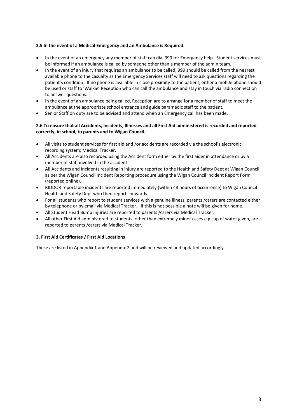#### **2.5 In the event of a Medical Emergency and an Ambulance is Required.**

- In the event of an emergency any member of staff can dial 999 for Emergency help. Student services must be informed if an ambulance is called by someone other than a member of the admin team.
- In the event of an injury that requires an ambulance to be called, 999 should be called from the nearest available phone to the casualty as the Emergency Services staff will need to ask questions regarding the patient's condition. If no phone is available in close proximity to the patient, either a mobile phone should be used or staff to 'Walkie' Reception who can call the ambulance and stay in touch via radio connection to answer questions.
- In the event of an ambulance being called, Reception are to arrange for a member of staff to meet the ambulance at the appropriate school entrance and guide paramedic staff to the patient.
- Senior Staff on duty are to be advised and attend when an Emergency call has been made.

### **2.6 To ensure that all Accidents, Incidents, Illnesses and all First Aid administered is recorded and reported correctly, in school, to parents and to Wigan Council.**

- All visits to student services for first aid and /or accidents are recorded via the school's electronic recording system; Medical Tracker.
- All Accidents are also recorded using the Accident form either by the first aider in attendance or by a member of staff involved in the accident.
- All Accidents and Incidents resulting in injury are reported to the Health and Safety Dept at Wigan Council as per the Wigan Council Incident Reporting procedure using the Wigan Council Incident Report Form (reported online).
- RIDDOR reportable incidents are reported immediately (within 48 hours of occurrence) to Wigan Council Health and Safety Dept who then reports onwards.
- For all students who report to student services with a genuine illness, parents /carers are contacted either by telephone or by email via Medical Tracker. if this is not possible a note will be given for home.
- All Student Head Bump Injuries are reported to parents /carers via Medical Tracker.
- All other First Aid administered to students, other than extremely minor cases e.g cup of water given, are reported to parents /carers via Medical Tracker.

# **3. First Aid Certificates / First Aid Locations**

These are listed in Appendix 1 and Appendix 2 and will be reviewed and updated accordingly.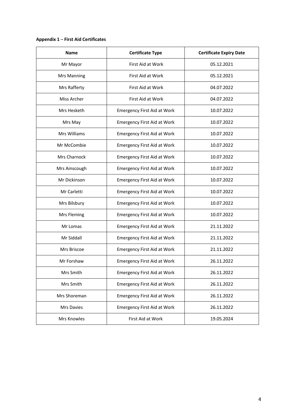# **Appendix 1** – **First Aid Certificates**

| <b>Name</b>        | <b>Certificate Type</b>            | <b>Certificate Expiry Date</b> |
|--------------------|------------------------------------|--------------------------------|
| Mr Mayor           | <b>First Aid at Work</b>           | 05.12.2021                     |
| <b>Mrs Manning</b> | First Aid at Work                  | 05.12.2021                     |
| Mrs Rafferty       | First Aid at Work                  | 04.07.2022                     |
| Miss Archer        | First Aid at Work                  | 04.07.2022                     |
| Mrs Hesketh        | <b>Emergency First Aid at Work</b> | 10.07.2022                     |
| Mrs May            | <b>Emergency First Aid at Work</b> | 10.07.2022                     |
| Mrs Williams       | <b>Emergency First Aid at Work</b> | 10.07.2022                     |
| Mr McCombie        | <b>Emergency First Aid at Work</b> | 10.07.2022                     |
| Mrs Charnock       | <b>Emergency First Aid at Work</b> | 10.07.2022                     |
| Mrs Ainscough      | <b>Emergency First Aid at Work</b> | 10.07.2022                     |
| Mr Dickinson       | <b>Emergency First Aid at Work</b> | 10.07.2022                     |
| Mr Carletti        | <b>Emergency First Aid at Work</b> | 10.07.2022                     |
| Mrs Bilsbury       | <b>Emergency First Aid at Work</b> | 10.07.2022                     |
| Mrs Fleming        | <b>Emergency First Aid at Work</b> | 10.07.2022                     |
| Mr Lomas           | <b>Emergency First Aid at Work</b> | 21.11.2022                     |
| Mr Siddall         | <b>Emergency First Aid at Work</b> | 21.11.2022                     |
| Mrs Briscoe        | <b>Emergency First Aid at Work</b> | 21.11.2022                     |
| Mr Forshaw         | <b>Emergency First Aid at Work</b> | 26.11.2022                     |
| Mrs Smith          | <b>Emergency First Aid at Work</b> | 26.11.2022                     |
| Mrs Smith          | <b>Emergency First Aid at Work</b> | 26.11.2022                     |
| Mrs Shoreman       | <b>Emergency First Aid at Work</b> | 26.11.2022                     |
| Mrs Davies         | <b>Emergency First Aid at Work</b> | 26.11.2022                     |
| Mrs Knowles        | First Aid at Work                  | 19.05.2024                     |